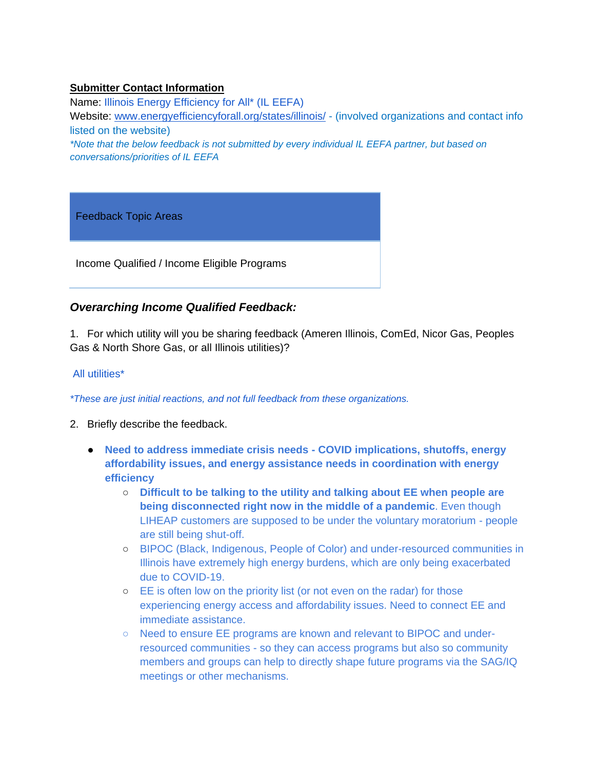#### **Submitter Contact Information**

Name: Illinois Energy Efficiency for All\* (IL EEFA) Website: [www.energyefficiencyforall.org/states/illinois/](https://www.energyefficiencyforall.org/states/illinois/) - (involved organizations and contact info listed on the website)

*\*Note that the below feedback is not submitted by every individual IL EEFA partner, but based on conversations/priorities of IL EEFA* 

Feedback Topic Areas

Income Qualified / Income Eligible Programs

# *Overarching Income Qualified Feedback:*

1. For which utility will you be sharing feedback (Ameren Illinois, ComEd, Nicor Gas, Peoples Gas & North Shore Gas, or all Illinois utilities)?

#### All utilities\*

*\*These are just initial reactions, and not full feedback from these organizations.* 

- 2. Briefly describe the feedback.
	- **Need to address immediate crisis needs - COVID implications, shutoffs, energy affordability issues, and energy assistance needs in coordination with energy efficiency** 
		- **Difficult to be talking to the utility and talking about EE when people are being disconnected right now in the middle of a pandemic**. Even though LIHEAP customers are supposed to be under the voluntary moratorium - people are still being shut-off.
		- BIPOC (Black, Indigenous, People of Color) and under-resourced communities in Illinois have extremely high energy burdens, which are only being exacerbated due to COVID-19.
		- EE is often low on the priority list (or not even on the radar) for those experiencing energy access and affordability issues. Need to connect EE and immediate assistance.
		- Need to ensure EE programs are known and relevant to BIPOC and underresourced communities - so they can access programs but also so community members and groups can help to directly shape future programs via the SAG/IQ meetings or other mechanisms.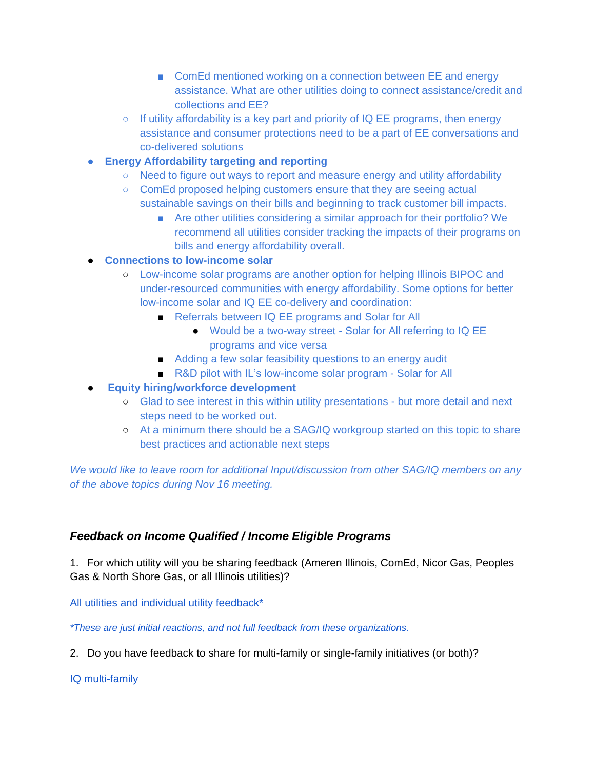- ComEd mentioned working on a connection between EE and energy assistance. What are other utilities doing to connect assistance/credit and collections and EE?
- If utility affordability is a key part and priority of IQ EE programs, then energy assistance and consumer protections need to be a part of EE conversations and co-delivered solutions
- **Energy Affordability targeting and reporting**
	- Need to figure out ways to report and measure energy and utility affordability
	- ComEd proposed helping customers ensure that they are seeing actual sustainable savings on their bills and beginning to track customer bill impacts.
		- Are other utilities considering a similar approach for their portfolio? We recommend all utilities consider tracking the impacts of their programs on bills and energy affordability overall.
- **Connections to low-income solar** 
	- Low-income solar programs are another option for helping Illinois BIPOC and under-resourced communities with energy affordability. Some options for better low-income solar and IQ EE co-delivery and coordination:
		- Referrals between IQ EE programs and Solar for All
			- Would be a two-way street Solar for All referring to IQ EE programs and vice versa
		- Adding a few solar feasibility questions to an energy audit
		- R&D pilot with IL's low-income solar program Solar for All
- **Equity hiring/workforce development**
	- Glad to see interest in this within utility presentations but more detail and next steps need to be worked out.
	- At a minimum there should be a SAG/IQ workgroup started on this topic to share best practices and actionable next steps

*We would like to leave room for additional Input/discussion from other SAG/IQ members on any of the above topics during Nov 16 meeting.* 

# *Feedback on Income Qualified / Income Eligible Programs*

1. For which utility will you be sharing feedback (Ameren Illinois, ComEd, Nicor Gas, Peoples Gas & North Shore Gas, or all Illinois utilities)?

All utilities and individual utility feedback\*

*\*These are just initial reactions, and not full feedback from these organizations.* 

2. Do you have feedback to share for multi-family or single-family initiatives (or both)?

IQ multi-family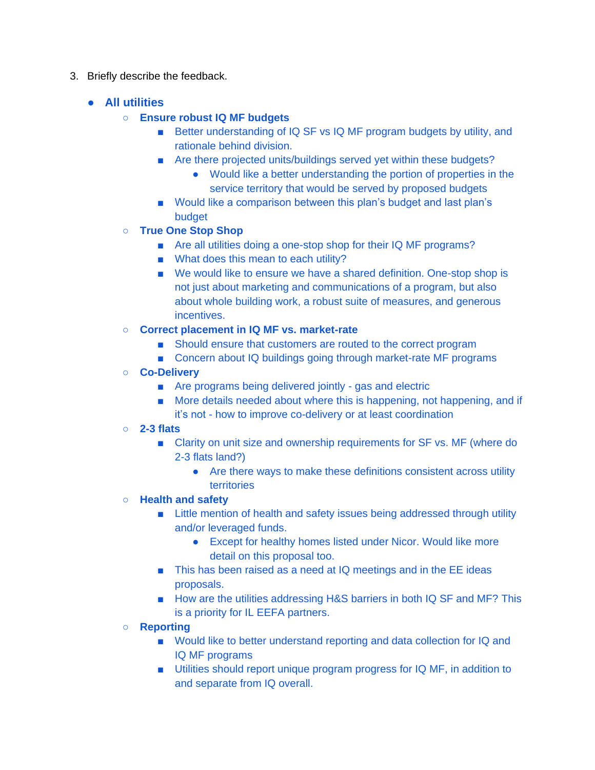- 3. Briefly describe the feedback.
	- **All utilities** 
		- **Ensure robust IQ MF budgets** 
			- Better understanding of IQ SF vs IQ MF program budgets by utility, and rationale behind division.
			- Are there projected units/buildings served yet within these budgets?
				- Would like a better understanding the portion of properties in the service territory that would be served by proposed budgets
			- Would like a comparison between this plan's budget and last plan's budget
		- **True One Stop Shop**
			- Are all utilities doing a one-stop shop for their IQ MF programs?
			- What does this mean to each utility?
			- We would like to ensure we have a shared definition. One-stop shop is not just about marketing and communications of a program, but also about whole building work, a robust suite of measures, and generous incentives.
		- **Correct placement in IQ MF vs. market-rate**
			- Should ensure that customers are routed to the correct program
			- Concern about IQ buildings going through market-rate MF programs
		- **Co-Delivery**
			- Are programs being delivered jointly gas and electric
			- More details needed about where this is happening, not happening, and if it's not - how to improve co-delivery or at least coordination
		- **2-3 flats**
			- Clarity on unit size and ownership requirements for SF vs. MF (where do 2-3 flats land?)
				- Are there ways to make these definitions consistent across utility territories
		- **Health and safety** 
			- Little mention of health and safety issues being addressed through utility and/or leveraged funds.
				- Except for healthy homes listed under Nicor. Would like more detail on this proposal too.
			- This has been raised as a need at IQ meetings and in the EE ideas proposals.
			- How are the utilities addressing H&S barriers in both IQ SF and MF? This is a priority for IL EEFA partners.
		- **Reporting** 
			- Would like to better understand reporting and data collection for IQ and IQ MF programs
			- Utilities should report unique program progress for IQ MF, in addition to and separate from IQ overall.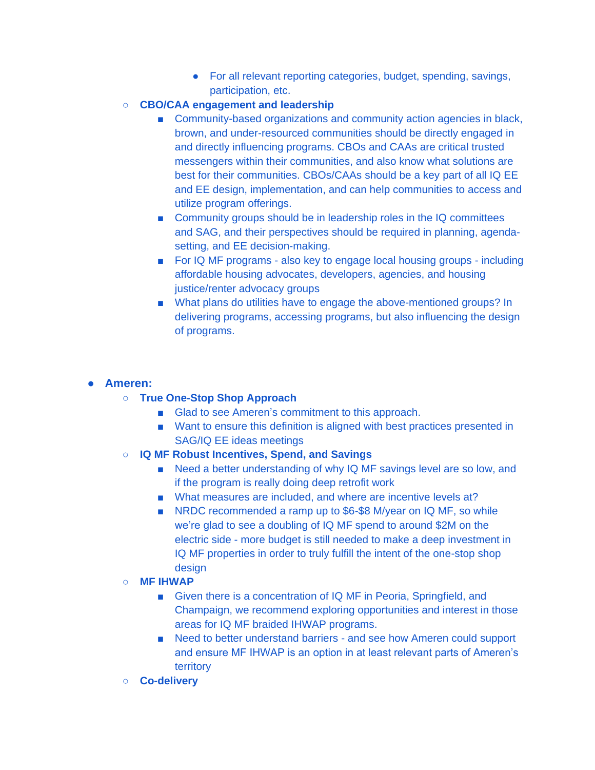- For all relevant reporting categories, budget, spending, savings, participation, etc.
- **CBO/CAA engagement and leadership**
	- Community-based organizations and community action agencies in black, brown, and under-resourced communities should be directly engaged in and directly influencing programs. CBOs and CAAs are critical trusted messengers within their communities, and also know what solutions are best for their communities. CBOs/CAAs should be a key part of all IQ EE and EE design, implementation, and can help communities to access and utilize program offerings.
	- Community groups should be in leadership roles in the IQ committees and SAG, and their perspectives should be required in planning, agendasetting, and EE decision-making.
	- For IQ MF programs also key to engage local housing groups including affordable housing advocates, developers, agencies, and housing justice/renter advocacy groups
	- What plans do utilities have to engage the above-mentioned groups? In delivering programs, accessing programs, but also influencing the design of programs.

#### ● **Ameren:**

- **True One-Stop Shop Approach**
	- Glad to see Ameren's commitment to this approach.
	- Want to ensure this definition is aligned with best practices presented in SAG/IQ EE ideas meetings
- **IQ MF Robust Incentives, Spend, and Savings** 
	- Need a better understanding of why IQ MF savings level are so low, and if the program is really doing deep retrofit work
	- What measures are included, and where are incentive levels at?
	- NRDC recommended a ramp up to \$6-\$8 M/year on IQ MF, so while we're glad to see a doubling of IQ MF spend to around \$2M on the electric side - more budget is still needed to make a deep investment in IQ MF properties in order to truly fulfill the intent of the one-stop shop design
- **MF IHWAP** 
	- Given there is a concentration of IQ MF in Peoria, Springfield, and Champaign, we recommend exploring opportunities and interest in those areas for IQ MF braided IHWAP programs.
	- Need to better understand barriers and see how Ameren could support and ensure MF IHWAP is an option in at least relevant parts of Ameren's territory
- **Co-delivery**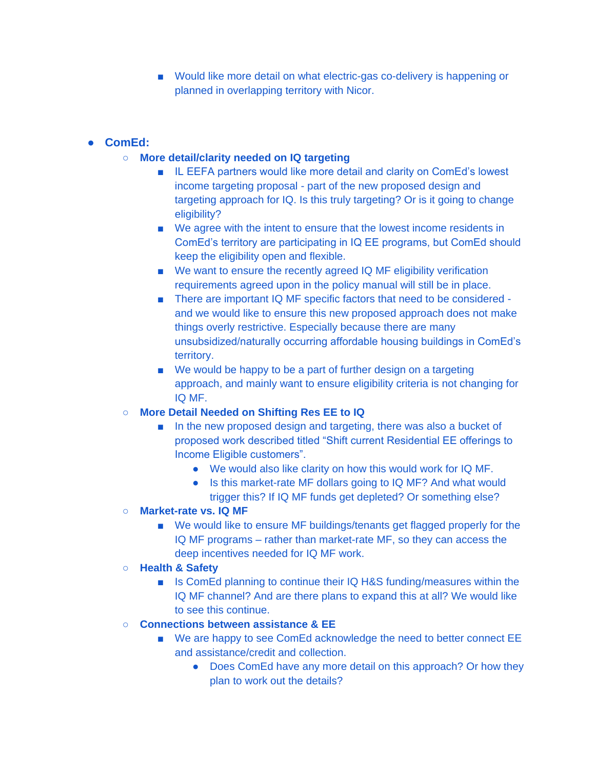■ Would like more detail on what electric-gas co-delivery is happening or planned in overlapping territory with Nicor.

# ● **ComEd:**

- **More detail/clarity needed on IQ targeting** 
	- IL EEFA partners would like more detail and clarity on ComEd's lowest income targeting proposal - part of the new proposed design and targeting approach for IQ. Is this truly targeting? Or is it going to change eligibility?
	- We agree with the intent to ensure that the lowest income residents in ComEd's territory are participating in IQ EE programs, but ComEd should keep the eligibility open and flexible.
	- We want to ensure the recently agreed IQ MF eligibility verification requirements agreed upon in the policy manual will still be in place.
	- There are important IQ MF specific factors that need to be considered and we would like to ensure this new proposed approach does not make things overly restrictive. Especially because there are many unsubsidized/naturally occurring affordable housing buildings in ComEd's territory.
	- We would be happy to be a part of further design on a targeting approach, and mainly want to ensure eligibility criteria is not changing for IQ MF.

# ○ **More Detail Needed on Shifting Res EE to IQ**

- In the new proposed design and targeting, there was also a bucket of proposed work described titled "Shift current Residential EE offerings to Income Eligible customers".
	- We would also like clarity on how this would work for IQ MF.
	- Is this market-rate MF dollars going to IQ MF? And what would trigger this? If IQ MF funds get depleted? Or something else?

# ○ **Market-rate vs. IQ MF**

■ We would like to ensure MF buildings/tenants get flagged properly for the IQ MF programs – rather than market-rate MF, so they can access the deep incentives needed for IQ MF work.

# ○ **Health & Safety**

■ Is ComEd planning to continue their IQ H&S funding/measures within the IQ MF channel? And are there plans to expand this at all? We would like to see this continue.

# ○ **Connections between assistance & EE**

- We are happy to see ComEd acknowledge the need to better connect EE and assistance/credit and collection.
	- Does ComEd have any more detail on this approach? Or how they plan to work out the details?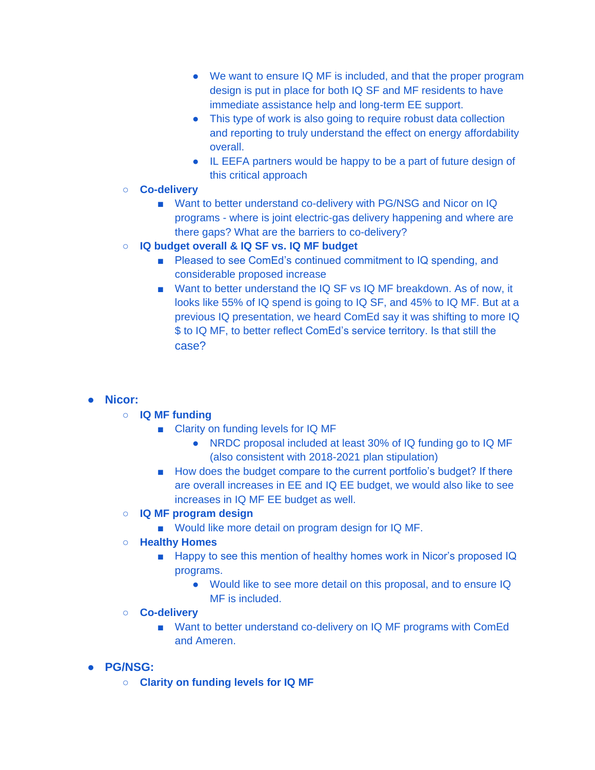- We want to ensure IQ MF is included, and that the proper program design is put in place for both IQ SF and MF residents to have immediate assistance help and long-term EE support.
- This type of work is also going to require robust data collection and reporting to truly understand the effect on energy affordability overall.
- IL EEFA partners would be happy to be a part of future design of this critical approach
- **Co-delivery** 
	- Want to better understand co-delivery with PG/NSG and Nicor on IQ programs - where is joint electric-gas delivery happening and where are there gaps? What are the barriers to co-delivery?
- **IQ budget overall & IQ SF vs. IQ MF budget**
	- Pleased to see ComEd's continued commitment to IQ spending, and considerable proposed increase
	- Want to better understand the IQ SF vs IQ MF breakdown. As of now, it looks like 55% of IQ spend is going to IQ SF, and 45% to IQ MF. But at a previous IQ presentation, we heard ComEd say it was shifting to more IQ \$ to IQ MF, to better reflect ComEd's service territory. Is that still the case?

# ● **Nicor:**

- **IQ MF funding** 
	- Clarity on funding levels for IQ MF
		- NRDC proposal included at least 30% of IQ funding go to IQ MF (also consistent with 2018-2021 plan stipulation)
	- How does the budget compare to the current portfolio's budget? If there are overall increases in EE and IQ EE budget, we would also like to see increases in IQ MF EE budget as well.
- **IQ MF program design** 
	- Would like more detail on program design for IQ MF.
- **Healthy Homes** 
	- Happy to see this mention of healthy homes work in Nicor's proposed IQ programs.
		- Would like to see more detail on this proposal, and to ensure IQ MF is included.
- **Co-delivery** 
	- Want to better understand co-delivery on IQ MF programs with ComEd and Ameren.
- **PG/NSG:** 
	- **Clarity on funding levels for IQ MF**